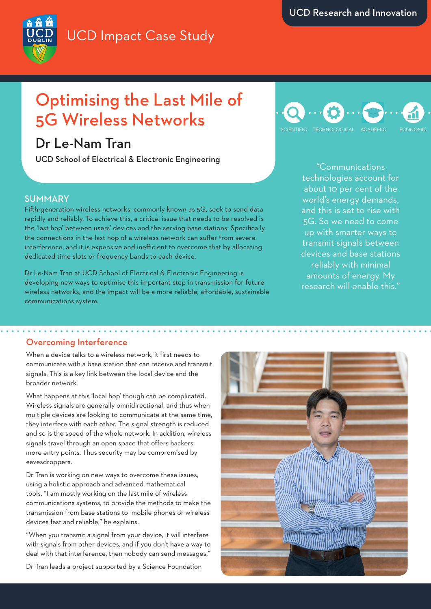

# Optimising the Last Mile of 5G Wireless Networks

# Dr Le-Nam Tran

UCD School of Electrical & Electronic Engineering

## SUMMARY

Fifth-generation wireless networks, commonly known as 5G, seek to send data rapidly and reliably. To achieve this, a critical issue that needs to be resolved is the 'last hop' between users' devices and the serving base stations. Specifically the connections in the last hop of a wireless network can suffer from severe interference, and it is expensive and inefficient to overcome that by allocating dedicated time slots or frequency bands to each device.

Dr Le-Nam Tran at UCD School of Electrical & Electronic Engineering is developing new ways to optimise this important step in transmission for future wireless networks, and the impact will be a more reliable, affordable, sustainable communications system.



"Communications technologies account for about 10 per cent of the world's energy demands, and this is set to rise with 5G. So we need to come up with smarter ways to transmit signals between devices and base stations reliably with minimal amounts of energy. My research will enable this."

#### Overcoming Interference

When a device talks to a wireless network, it first needs to communicate with a base station that can receive and transmit signals. This is a key link between the local device and the broader network.

What happens at this 'local hop' though can be complicated. Wireless signals are generally omnidirectional, and thus when multiple devices are looking to communicate at the same time, they interfere with each other. The signal strength is reduced and so is the speed of the whole network. In addition, wireless signals travel through an open space that offers hackers more entry points. Thus security may be compromised by eavesdroppers.

Dr Tran is working on new ways to overcome these issues, using a holistic approach and advanced mathematical tools. "I am mostly working on the last mile of wireless communications systems, to provide the methods to make the transmission from base stations to mobile phones or wireless devices fast and reliable," he explains.

"When you transmit a signal from your device, it will interfere with signals from other devices, and if you don't have a way to deal with that interference, then nobody can send messages."

Dr Tran leads a project supported by a Science Foundation